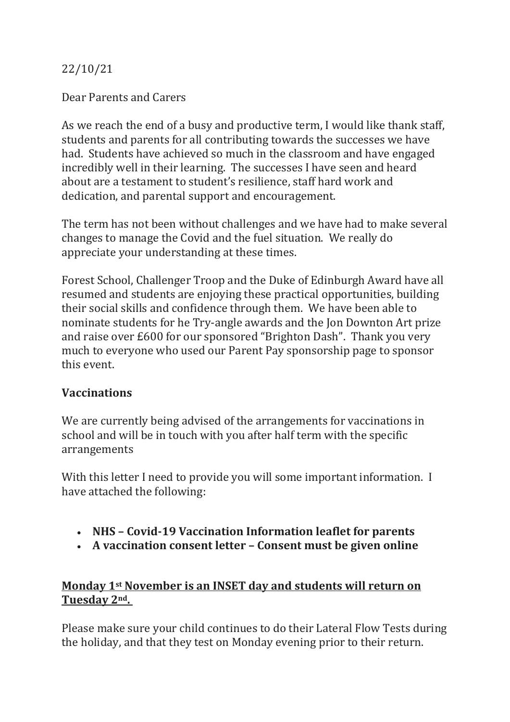## 22/10/21

#### Dear Parents and Carers

As we reach the end of a busy and productive term, I would like thank staff, students and parents for all contributing towards the successes we have had. Students have achieved so much in the classroom and have engaged incredibly well in their learning. The successes I have seen and heard about are a testament to student's resilience, staff hard work and dedication, and parental support and encouragement.

The term has not been without challenges and we have had to make several changes to manage the Covid and the fuel situation. We really do appreciate your understanding at these times.

Forest School, Challenger Troop and the Duke of Edinburgh Award have all resumed and students are enjoying these practical opportunities, building their social skills and confidence through them. We have been able to nominate students for he Try-angle awards and the Jon Downton Art prize and raise over £600 for our sponsored "Brighton Dash". Thank you very much to everyone who used our Parent Pay sponsorship page to sponsor this event.

#### **Vaccinations**

We are currently being advised of the arrangements for vaccinations in school and will be in touch with you after half term with the specific arrangements

With this letter I need to provide you will some important information. I have attached the following:

- **NHS – Covid-19 Vaccination Information leaflet for parents**
- **A vaccination consent letter – Consent must be given online**

## **Monday 1st November is an INSET day and students will return on Tuesday 2nd.**

Please make sure your child continues to do their Lateral Flow Tests during the holiday, and that they test on Monday evening prior to their return.